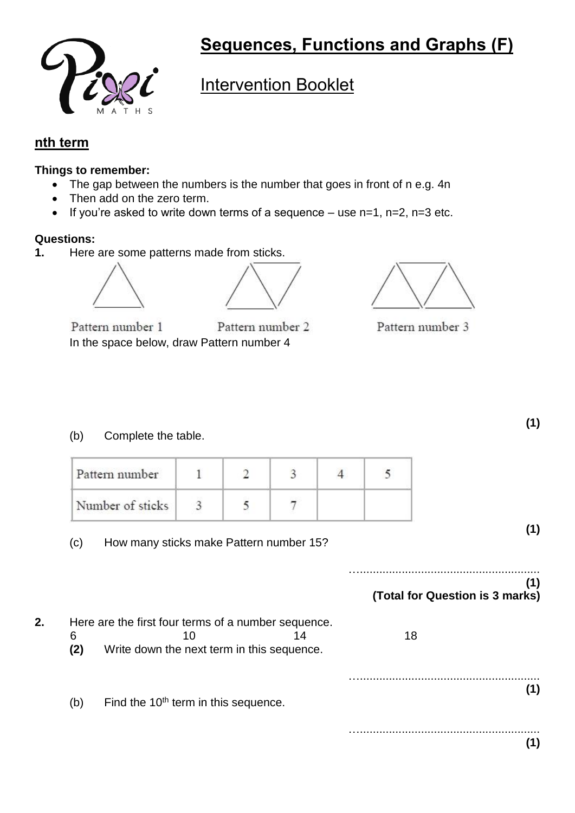

# **Sequences, Functions and Graphs (F)**

## Intervention Booklet

### **nth term**

#### **Things to remember:**

- The gap between the numbers is the number that goes in front of n e.g. 4n
- Then add on the zero term.
- If you're asked to write down terms of a sequence  $-$  use n=1, n=2, n=3 etc.

#### **Questions:**

**1.** Here are some patterns made from sticks.





Pattern number 1 Pattern number 2 In the space below, draw Pattern number 4



Pattern number 3

(b) Complete the table.

| Pattern number   |  |  |  |
|------------------|--|--|--|
| Number of sticks |  |  |  |

(c) How many sticks make Pattern number 15?

#### …........................................................ **(1) (Total for Question is 3 marks)**

**2.** Here are the first four terms of a number sequence. 6 10 14 18 **(2)** Write down the next term in this sequence. …........................................................ **(1)** (b) Find the  $10<sup>th</sup>$  term in this sequence.

> …........................................................ **(1)**

**(1)**

**(1)**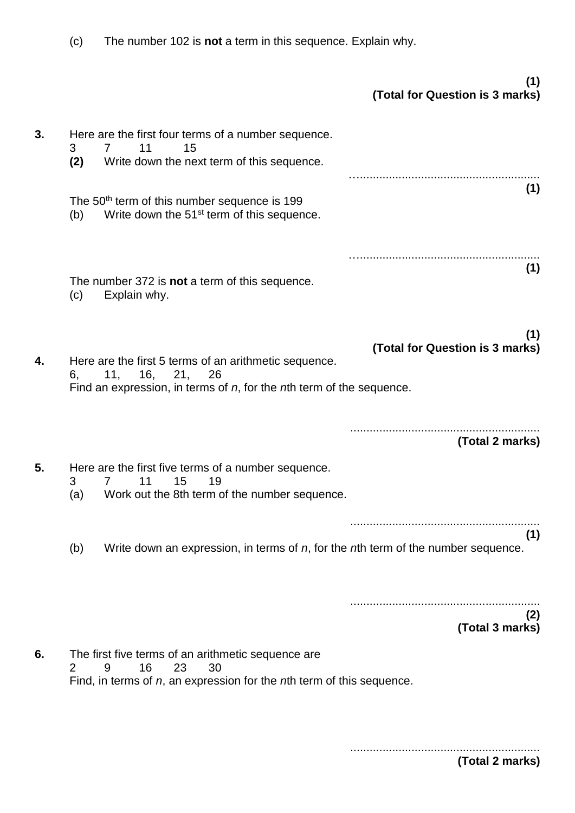(c) The number 102 is **not** a term in this sequence. Explain why.

|    |                                                                                                                                                                      | (1)<br>(Total for Question is 3 marks) |
|----|----------------------------------------------------------------------------------------------------------------------------------------------------------------------|----------------------------------------|
| 3. | Here are the first four terms of a number sequence.<br>11<br>3<br>7<br>15<br>(2)<br>Write down the next term of this sequence.                                       |                                        |
|    | The 50 <sup>th</sup> term of this number sequence is 199<br>Write down the 51 <sup>st</sup> term of this sequence.<br>(b)                                            | (1)                                    |
|    | The number 372 is not a term of this sequence.<br>Explain why.<br>(c)                                                                                                | (1)                                    |
| 4. | Here are the first 5 terms of an arithmetic sequence.<br>11,<br>16,<br>21,<br>26<br>6,<br>Find an expression, in terms of $n$ , for the $n$ th term of the sequence. | (1)<br>(Total for Question is 3 marks) |
|    |                                                                                                                                                                      | (Total 2 marks)                        |
| 5. | Here are the first five terms of a number sequence.<br>15<br>11<br>19<br>3<br>$\overline{7}$<br>Work out the 8th term of the number sequence.<br>(a)                 |                                        |
|    | Write down an expression, in terms of $n$ , for the $n$ th term of the number sequence.<br>(b)                                                                       | (1)                                    |
|    |                                                                                                                                                                      | (2)<br>(Total 3 marks)                 |
| 6. | The first five terms of an arithmetic sequence are<br>23<br>16<br>2<br>9<br>30<br>Find, in terms of $n$ , an expression for the $n$ th term of this sequence.        |                                        |

...........................................................

**(Total 2 marks)**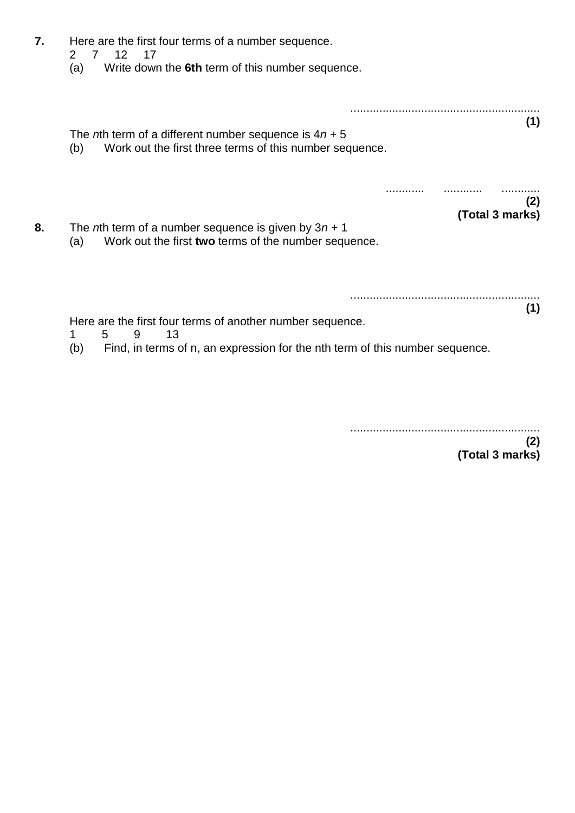|                                                                              | Here are the first four terms of a number sequence.<br>$12 \,$<br>2<br>$7^{\circ}$<br>17<br>Write down the 6th term of this number sequence.<br>(a) |                        |
|------------------------------------------------------------------------------|-----------------------------------------------------------------------------------------------------------------------------------------------------|------------------------|
|                                                                              | The <i>n</i> th term of a different number sequence is $4n + 5$<br>Work out the first three terms of this number sequence.<br>(b)                   | (1)                    |
|                                                                              | The <i>n</i> th term of a number sequence is given by $3n + 1$<br>Work out the first two terms of the number sequence.<br>(a)                       | (2)<br>(Total 3 marks) |
| Find, in terms of n, an expression for the nth term of this number sequence. | Here are the first four terms of another number sequence.<br>13<br>9<br>1<br>5.<br>(b)                                                              | (1)                    |

...........................................................

**(2) (Total 3 marks)**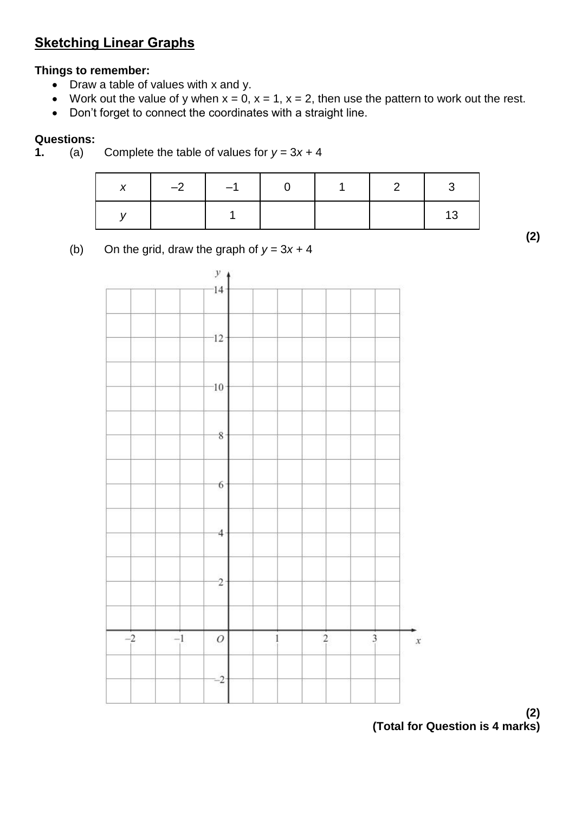## **Sketching Linear Graphs**

### **Things to remember:**

- Draw a table of values with x and y.
- Work out the value of y when  $x = 0$ ,  $x = 1$ ,  $x = 2$ , then use the pattern to work out the rest.
- Don't forget to connect the coordinates with a straight line.

#### **Questions:**

**1.** (a) Complete the table of values for  $y = 3x + 4$ 

| <b>Y</b> | $-2$ $-1$ | $\overline{1}$ |             |
|----------|-----------|----------------|-------------|
|          |           |                | <u>। '२</u> |

(b) On the grid, draw the graph of  $y = 3x + 4$ 



**<sup>(2)</sup> (Total for Question is 4 marks)**

**(2)**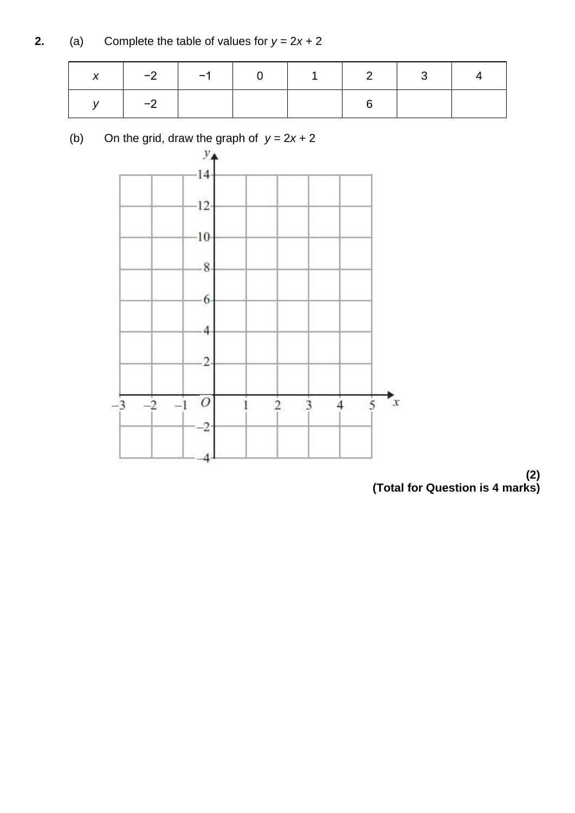**2.** (a) Complete the table of values for  $y = 2x + 2$ 

| $\boldsymbol{\mathsf{x}}$ |      |  |  | 2 3 1 |  |
|---------------------------|------|--|--|-------|--|
|                           | $-2$ |  |  |       |  |



(b) On the grid, draw the graph of  $y = 2x + 2$ 

**(2) (Total for Question is 4 marks)**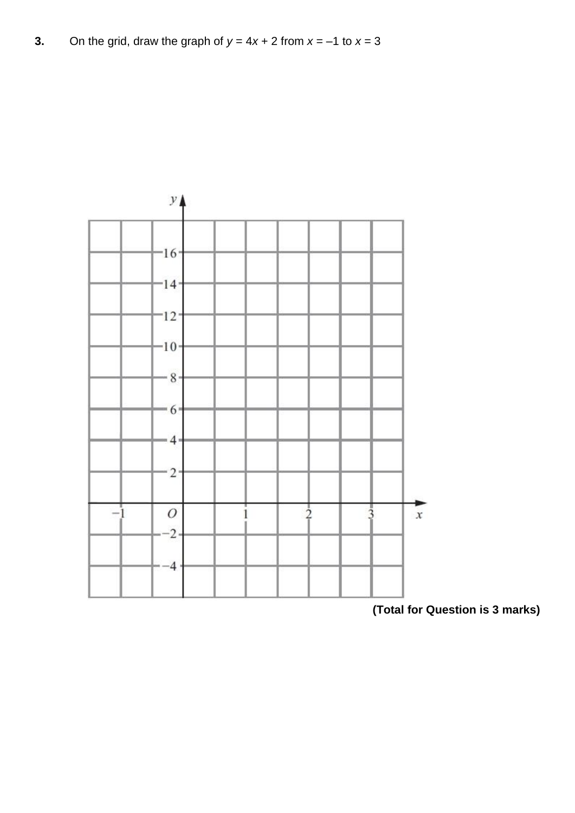**3.** On the grid, draw the graph of  $y = 4x + 2$  from  $x = -1$  to  $x = 3$ 



**<sup>(</sup>Total for Question is 3 marks)**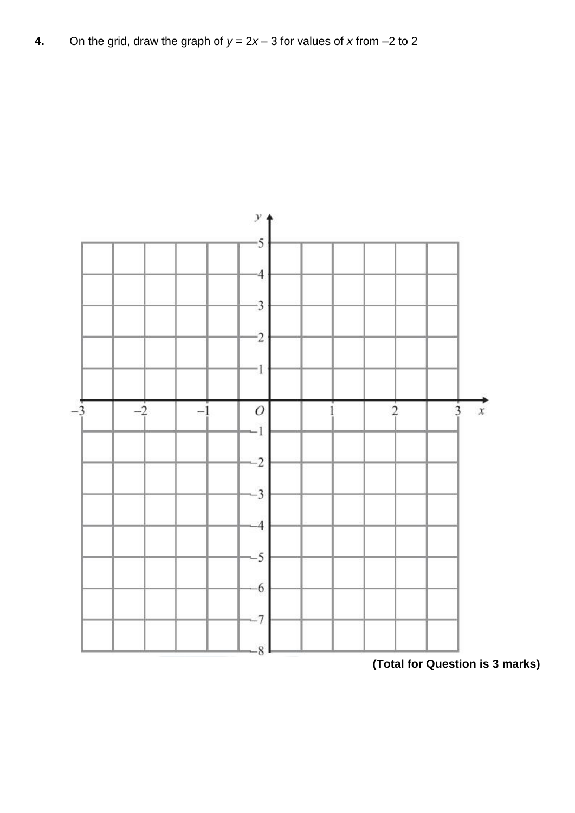

**<sup>(</sup>Total for Question is 3 marks)**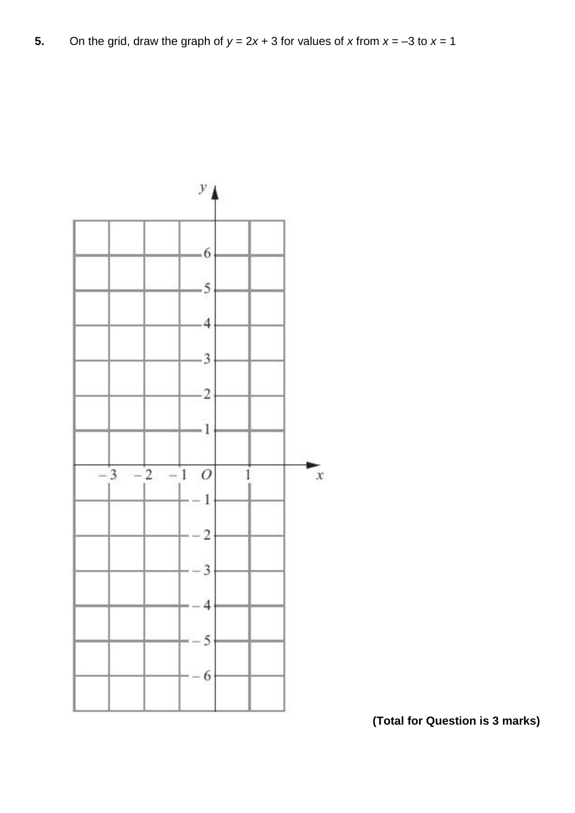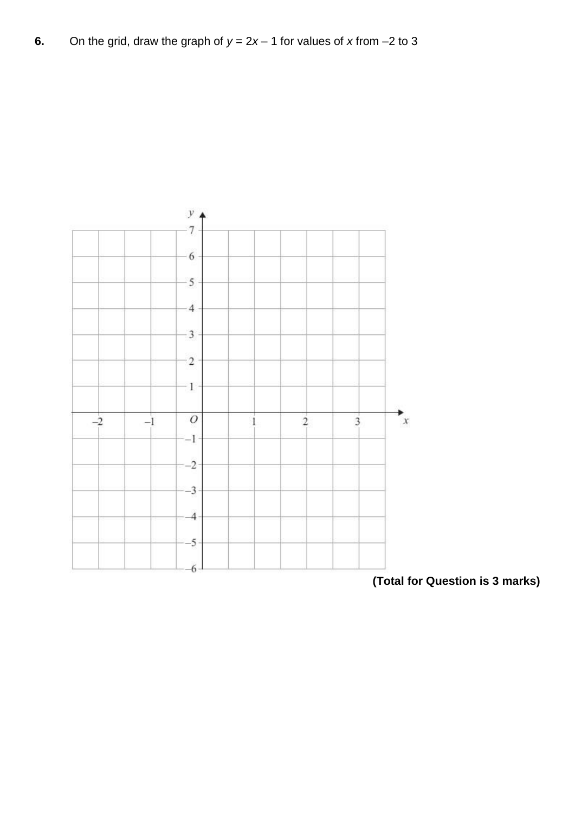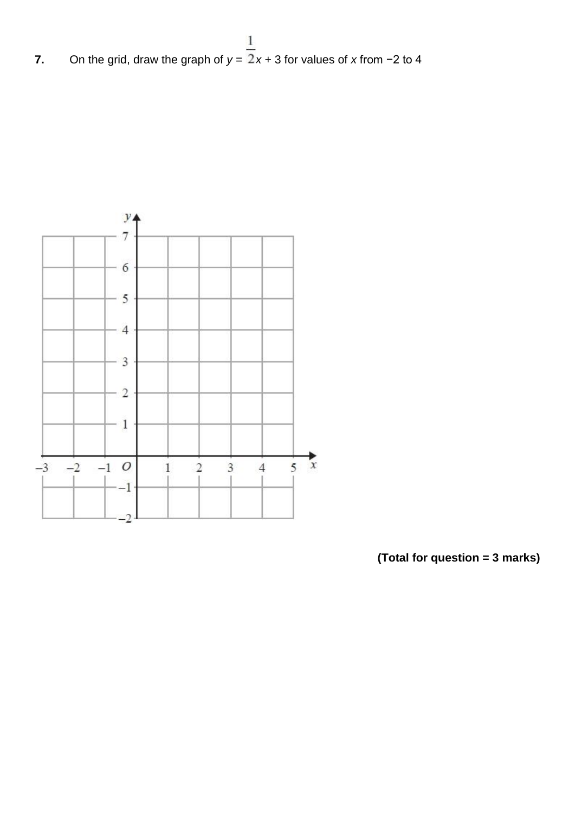**7.** On the grid, draw the graph of  $y = \frac{1}{2}x + 3$  for values of *x* from −2 to 4



**(Total for question = 3 marks)**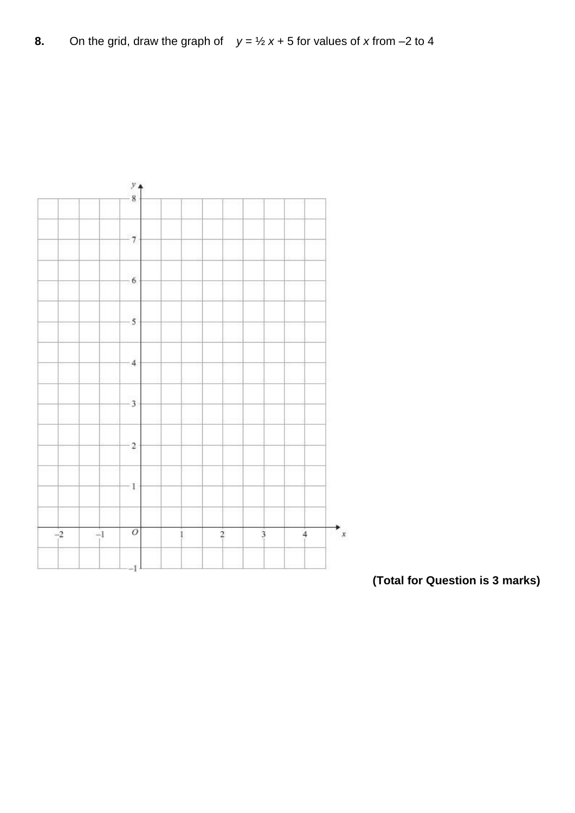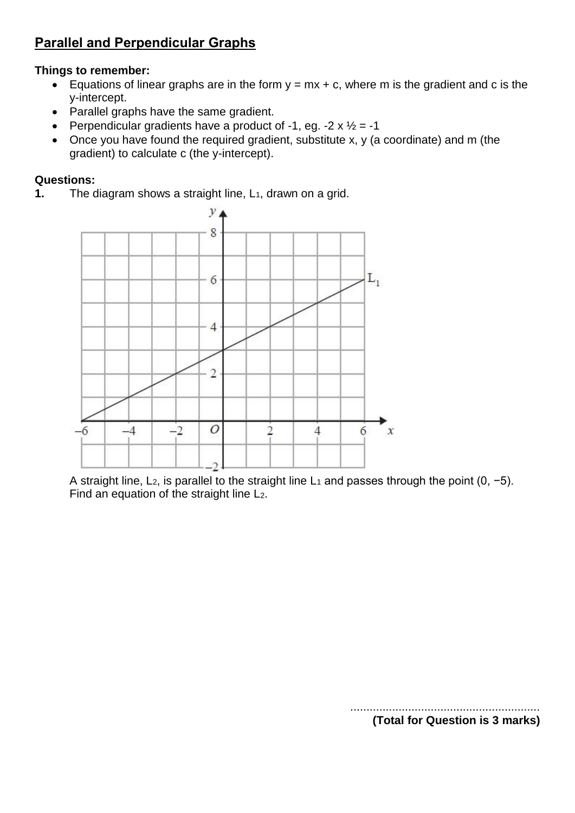### **Parallel and Perpendicular Graphs**

#### **Things to remember:**

- Equations of linear graphs are in the form  $y = mx + c$ , where m is the gradient and c is the y-intercept.
- Parallel graphs have the same gradient.
- Perpendicular gradients have a product of -1, eg. -2  $\times$   $\frac{1}{2}$  = -1
- Once you have found the required gradient, substitute x, y (a coordinate) and m (the gradient) to calculate c (the y-intercept).

#### **Questions:**

**1.** The diagram shows a straight line, L<sub>1</sub>, drawn on a grid.



A straight line, L2, is parallel to the straight line L<sup>1</sup> and passes through the point (0, −5). Find an equation of the straight line L2.

...........................................................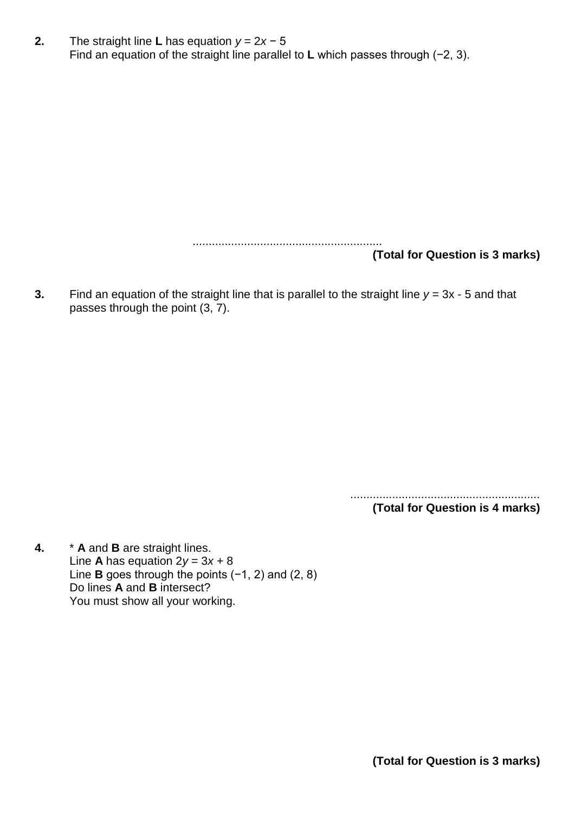**2.** The straight line **L** has equation *y* = 2*x* − 5 Find an equation of the straight line parallel to **L** which passes through (−2, 3).

> ........................................................... **(Total for Question is 3 marks)**

**3.** Find an equation of the straight line that is parallel to the straight line  $y = 3x - 5$  and that passes through the point (3, 7).

> ........................................................... **(Total for Question is 4 marks)**

**4.** \* **A** and **B** are straight lines. Line **A** has equation  $2y = 3x + 8$ Line **B** goes through the points (−1, 2) and (2, 8) Do lines **A** and **B** intersect? You must show all your working.